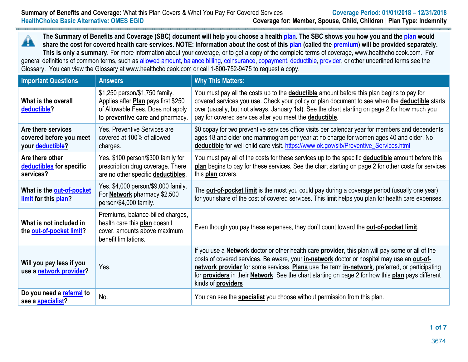**The Summary of Benefits and Coverage (SBC) document will help you choose a health plan. The SBC shows you how you and the plan would**   $\blacktriangle$ **share the cost for covered health care services. NOTE: Information about the cost of this plan (called the premium) will be provided separately.**  This is only a summary. For more information about your coverage, or to get a copy of the complete terms of coverage, www.healthchoiceok.com. For general definitions of common terms, such as allowed amount, balance billing, coinsurance, copayment, deductible, provider, or other underlined terms see the Glossary. You can view the Glossary at www.healthchoiceok.com or call 1-800-752-9475 to request a copy.

| <b>Important Questions</b>                                        | <b>Answers</b>                                                                                                                                 | <b>Why This Matters:</b>                                                                                                                                                                                                                                                                                                                                                                                                                                                       |
|-------------------------------------------------------------------|------------------------------------------------------------------------------------------------------------------------------------------------|--------------------------------------------------------------------------------------------------------------------------------------------------------------------------------------------------------------------------------------------------------------------------------------------------------------------------------------------------------------------------------------------------------------------------------------------------------------------------------|
| What is the overall<br>deductible?                                | \$1,250 person/\$1,750 family.<br>Applies after Plan pays first \$250<br>of Allowable Fees. Does not apply<br>to preventive care and pharmacy. | You must pay all the costs up to the deductible amount before this plan begins to pay for<br>covered services you use. Check your policy or plan document to see when the deductible starts<br>over (usually, but not always, January 1st). See the chart starting on page 2 for how much you<br>pay for covered services after you meet the deductible.                                                                                                                       |
| Are there services<br>covered before you meet<br>your deductible? | Yes. Preventive Services are<br>covered at 100% of allowed<br>charges.                                                                         | \$0 copay for two preventive services office visits per calendar year for members and dependents<br>ages 18 and older one mammogram per year at no charge for women ages 40 and older. No<br>deductible for well child care visit. https://www.ok.gov/sib/Preventive_Services.html                                                                                                                                                                                             |
| Are there other<br>deductibles for specific<br>services?          | Yes. \$100 person/\$300 family for<br>prescription drug coverage. There<br>are no other specific deductibles.                                  | You must pay all of the costs for these services up to the specific <b>deductible</b> amount before this<br>plan begins to pay for these services. See the chart starting on page 2 for other costs for services<br>this plan covers.                                                                                                                                                                                                                                          |
| What is the out-of-pocket<br>limit for this plan?                 | Yes. \$4,000 person/\$9,000 family.<br>For <b>Network</b> pharmacy \$2,500<br>person/\$4,000 family.                                           | The <b>out-of-pocket limit</b> is the most you could pay during a coverage period (usually one year)<br>for your share of the cost of covered services. This limit helps you plan for health care expenses.                                                                                                                                                                                                                                                                    |
| What is not included in<br>the out-of-pocket limit?               | Premiums, balance-billed charges,<br>health care this plan doesn't<br>cover, amounts above maximum<br>benefit limitations.                     | Even though you pay these expenses, they don't count toward the <b>out-of-pocket limit</b> .                                                                                                                                                                                                                                                                                                                                                                                   |
| Will you pay less if you<br>use a network provider?               | Yes.                                                                                                                                           | If you use a <b>Network</b> doctor or other health care <b>provider</b> , this plan will pay some or all of the<br>costs of covered services. Be aware, your <i>in-network</i> doctor or hospital may use an <b>out-of-</b><br>network provider for some services. Plans use the term in-network, preferred, or participating<br>for <b>providers</b> in their <b>Network</b> . See the chart starting on page 2 for how this plan pays different<br>kinds of <b>providers</b> |
| Do you need a referral to<br>see a specialist?                    | No.                                                                                                                                            | You can see the <b>specialist</b> you choose without permission from this plan.                                                                                                                                                                                                                                                                                                                                                                                                |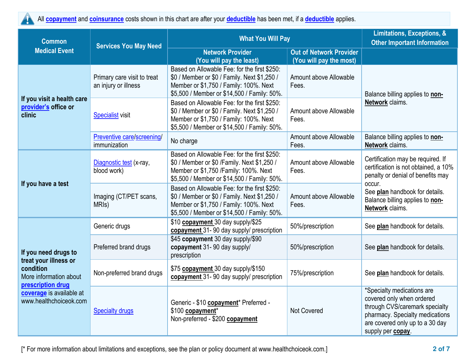All **copayment** and **coinsurance** costs shown in this chart are after your **deductible** has been met, if a **deductible** applies.

| <b>Common</b>                                                | <b>Services You May Need</b>                        | <b>What You Will Pay</b>                                                                                                                                                              | <b>Limitations, Exceptions, &amp;</b><br><b>Other Important Information</b> |                                                                                                                                                                                      |
|--------------------------------------------------------------|-----------------------------------------------------|---------------------------------------------------------------------------------------------------------------------------------------------------------------------------------------|-----------------------------------------------------------------------------|--------------------------------------------------------------------------------------------------------------------------------------------------------------------------------------|
| <b>Medical Event</b>                                         |                                                     | <b>Network Provider</b><br>(You will pay the least)                                                                                                                                   | <b>Out of Network Provider</b><br>(You will pay the most)                   |                                                                                                                                                                                      |
| If you visit a health care<br>provider's office or<br>clinic | Primary care visit to treat<br>an injury or illness | Based on Allowable Fee: for the first \$250:<br>\$0 / Member or \$0 / Family. Next \$1,250 /<br>Member or \$1,750 / Family: 100%. Next<br>\$5,500 / Member or \$14,500 / Family: 50%. | Amount above Allowable<br>Fees.                                             | Balance billing applies to non-                                                                                                                                                      |
|                                                              | <b>Specialist visit</b>                             | Based on Allowable Fee: for the first \$250:<br>\$0 / Member or \$0 / Family. Next \$1,250 /<br>Member or \$1,750 / Family: 100%. Next<br>\$5,500 / Member or \$14,500 / Family: 50%. | Amount above Allowable<br>Fees.                                             | Network claims.                                                                                                                                                                      |
|                                                              | Preventive care/screening/<br>immunization          | No charge                                                                                                                                                                             | Amount above Allowable<br>Fees.                                             | Balance billing applies to non-<br>Network claims.                                                                                                                                   |
| If you have a test                                           | Diagnostic test (x-ray,<br>blood work)              | Based on Allowable Fee: for the first \$250:<br>\$0 / Member or \$0 / Family. Next \$1,250 /<br>Member or \$1,750 / Family: 100%. Next<br>\$5,500 / Member or \$14,500 / Family: 50%. | Amount above Allowable<br>Fees.                                             | Certification may be required. If<br>certification is not obtained, a 10%<br>penalty or denial of benefits may                                                                       |
|                                                              | Imaging (CT/PET scans,<br>MRI <sub>s</sub> )        | Based on Allowable Fee: for the first \$250:<br>\$0 / Member or \$0 / Family. Next \$1,250 /<br>Member or \$1,750 / Family: 100%. Next<br>\$5,500 / Member or \$14,500 / Family: 50%. | Amount above Allowable<br>Fees.                                             | occur.<br>See plan handbook for details.<br>Balance billing applies to non-<br>Network claims.                                                                                       |
|                                                              | Generic drugs                                       | \$10 copayment 30 day supply/\$25<br>copayment 31-90 day supply/ prescription                                                                                                         | 50%/prescription                                                            | See plan handbook for details.                                                                                                                                                       |
| If you need drugs to<br>treat your illness or                | Preferred brand drugs                               | \$45 copayment 30 day supply/\$90<br>copayment 31- 90 day supply/<br>prescription                                                                                                     | 50%/prescription                                                            | See plan handbook for details.                                                                                                                                                       |
| condition<br>More information about<br>prescription drug     | Non-preferred brand drugs                           | \$75 copayment 30 day supply/\$150<br>copayment 31-90 day supply/ prescription                                                                                                        | 75%/prescription                                                            | See plan handbook for details.                                                                                                                                                       |
| coverage is available at<br>www.healthchoiceok.com           | <b>Specialty drugs</b>                              | Generic - \$10 copayment* Preferred -<br>\$100 copayment*<br>Non-preferred - \$200 copayment                                                                                          | Not Covered                                                                 | *Specialty medications are<br>covered only when ordered<br>through CVS/caremark specialty<br>pharmacy. Specialty medications<br>are covered only up to a 30 day<br>supply per copay. |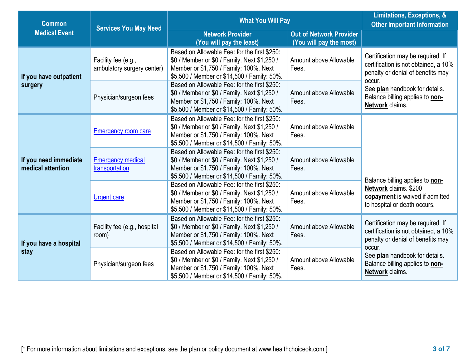| <b>Common</b>                              | <b>Services You May Need</b>                      | <b>What You Will Pay</b>                                                                                                                                                              | Limitations, Exceptions, &<br><b>Other Important Information</b> |                                                                                                                          |  |
|--------------------------------------------|---------------------------------------------------|---------------------------------------------------------------------------------------------------------------------------------------------------------------------------------------|------------------------------------------------------------------|--------------------------------------------------------------------------------------------------------------------------|--|
| <b>Medical Event</b>                       |                                                   | <b>Network Provider</b><br>(You will pay the least)                                                                                                                                   | <b>Out of Network Provider</b><br>(You will pay the most)        |                                                                                                                          |  |
| If you have outpatient<br>surgery          | Facility fee (e.g.,<br>ambulatory surgery center) | Based on Allowable Fee: for the first \$250:<br>\$0 / Member or \$0 / Family. Next \$1,250 /<br>Member or \$1,750 / Family: 100%. Next<br>\$5,500 / Member or \$14,500 / Family: 50%. | Amount above Allowable<br>Fees.                                  | Certification may be required. If<br>certification is not obtained, a 10%<br>penalty or denial of benefits may<br>occur. |  |
|                                            | Physician/surgeon fees                            | Based on Allowable Fee: for the first \$250:<br>\$0 / Member or \$0 / Family. Next \$1,250 /<br>Member or \$1,750 / Family: 100%. Next<br>\$5,500 / Member or \$14,500 / Family: 50%. | Amount above Allowable<br>Fees.                                  | See plan handbook for details.<br>Balance billing applies to non-<br>Network claims.                                     |  |
|                                            | <b>Emergency room care</b>                        | Based on Allowable Fee: for the first \$250:<br>\$0 / Member or \$0 / Family. Next \$1,250 /<br>Member or \$1,750 / Family: 100%. Next<br>\$5,500 / Member or \$14,500 / Family: 50%. | Amount above Allowable<br>Fees.                                  |                                                                                                                          |  |
| If you need immediate<br>medical attention | <b>Emergency medical</b><br>transportation        | Based on Allowable Fee: for the first \$250:<br>\$0 / Member or \$0 / Family. Next \$1,250 /<br>Member or \$1,750 / Family: 100%. Next<br>\$5,500 / Member or \$14,500 / Family: 50%. | Amount above Allowable<br>Fees.                                  | Balance billing applies to non-                                                                                          |  |
|                                            | <b>Urgent care</b>                                | Based on Allowable Fee: for the first \$250:<br>\$0 / Member or \$0 / Family. Next \$1,250 /<br>Member or \$1,750 / Family: 100%. Next<br>\$5,500 / Member or \$14,500 / Family: 50%. | Amount above Allowable<br>Fees.                                  | Network claims. \$200<br>copayment is waived if admitted<br>to hospital or death occurs.                                 |  |
| If you have a hospital                     | Facility fee (e.g., hospital<br>room)             | Based on Allowable Fee: for the first \$250:<br>\$0 / Member or \$0 / Family. Next \$1,250 /<br>Member or \$1,750 / Family: 100%. Next<br>\$5,500 / Member or \$14,500 / Family: 50%. | Amount above Allowable<br>Fees.                                  | Certification may be required. If<br>certification is not obtained, a 10%<br>penalty or denial of benefits may<br>occur. |  |
| stay                                       | Physician/surgeon fees                            | Based on Allowable Fee: for the first \$250:<br>\$0 / Member or \$0 / Family. Next \$1,250 /<br>Member or \$1,750 / Family: 100%. Next<br>\$5,500 / Member or \$14,500 / Family: 50%. | Amount above Allowable<br>Fees.                                  | See plan handbook for details.<br>Balance billing applies to non-<br>Network claims.                                     |  |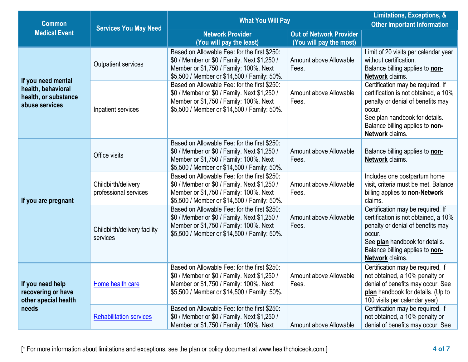| <b>Common</b>                                                                      | <b>Services You May Need</b>                 | <b>What You Will Pay</b>                                                                                                                                                              | Limitations, Exceptions, &<br><b>Other Important Information</b> |                                                                                                                                                                                                                  |
|------------------------------------------------------------------------------------|----------------------------------------------|---------------------------------------------------------------------------------------------------------------------------------------------------------------------------------------|------------------------------------------------------------------|------------------------------------------------------------------------------------------------------------------------------------------------------------------------------------------------------------------|
| <b>Medical Event</b>                                                               |                                              | <b>Network Provider</b><br>(You will pay the least)                                                                                                                                   | <b>Out of Network Provider</b><br>(You will pay the most)        |                                                                                                                                                                                                                  |
| If you need mental<br>health, behavioral<br>health, or substance<br>abuse services | <b>Outpatient services</b>                   | Based on Allowable Fee: for the first \$250:<br>\$0 / Member or \$0 / Family. Next \$1,250 /<br>Member or \$1,750 / Family: 100%. Next<br>\$5,500 / Member or \$14,500 / Family: 50%. | Amount above Allowable<br>Fees.                                  | Limit of 20 visits per calendar year<br>without certification.<br>Balance billing applies to non-<br>Network claims.                                                                                             |
|                                                                                    | Inpatient services                           | Based on Allowable Fee: for the first \$250:<br>\$0 / Member or \$0 / Family. Next \$1,250 /<br>Member or \$1,750 / Family: 100%. Next<br>\$5,500 / Member or \$14,500 / Family: 50%. | Amount above Allowable<br>Fees.                                  | Certification may be required. If<br>certification is not obtained, a 10%<br>penalty or denial of benefits may<br>occur.<br>See plan handbook for details.<br>Balance billing applies to non-<br>Network claims. |
|                                                                                    | Office visits                                | Based on Allowable Fee: for the first \$250:<br>\$0 / Member or \$0 / Family. Next \$1,250 /<br>Member or \$1,750 / Family: 100%. Next<br>\$5,500 / Member or \$14,500 / Family: 50%. | Amount above Allowable<br>Fees.                                  | Balance billing applies to non-<br>Network claims.                                                                                                                                                               |
| If you are pregnant                                                                | Childbirth/delivery<br>professional services | Based on Allowable Fee: for the first \$250:<br>\$0 / Member or \$0 / Family. Next \$1,250 /<br>Member or \$1,750 / Family: 100%. Next<br>\$5,500 / Member or \$14,500 / Family: 50%. | Amount above Allowable<br>Fees.                                  | Includes one postpartum home<br>visit, criteria must be met. Balance<br>billing applies to <b>non-Network</b><br>claims.                                                                                         |
|                                                                                    | Childbirth/delivery facility<br>services     | Based on Allowable Fee: for the first \$250:<br>\$0 / Member or \$0 / Family. Next \$1,250 /<br>Member or \$1,750 / Family: 100%. Next<br>\$5,500 / Member or \$14,500 / Family: 50%. | Amount above Allowable<br>Fees.                                  | Certification may be required. If<br>certification is not obtained, a 10%<br>penalty or denial of benefits may<br>occur.<br>See plan handbook for details.<br>Balance billing applies to non-<br>Network claims. |
| If you need help<br>recovering or have<br>other special health                     | Home health care                             | Based on Allowable Fee: for the first \$250:<br>\$0 / Member or \$0 / Family. Next \$1,250 /<br>Member or \$1,750 / Family: 100%. Next<br>\$5,500 / Member or \$14,500 / Family: 50%. | Amount above Allowable<br>Fees.                                  | Certification may be required, if<br>not obtained, a 10% penalty or<br>denial of benefits may occur. See<br>plan handbook for details. (Up to<br>100 visits per calendar year)                                   |
| needs                                                                              | <b>Rehabilitation services</b>               | Based on Allowable Fee: for the first \$250:<br>\$0 / Member or \$0 / Family. Next \$1,250 /<br>Member or \$1,750 / Family: 100%. Next                                                | Amount above Allowable                                           | Certification may be required, if<br>not obtained, a 10% penalty or<br>denial of benefits may occur. See                                                                                                         |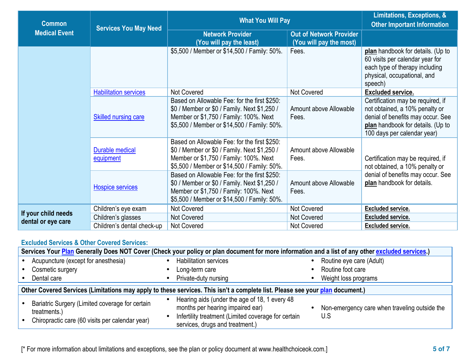| <b>Common</b><br><b>Services You May Need</b> |                                     | <b>What You Will Pay</b>                                                                                                                                                              | Limitations, Exceptions, &<br><b>Other Important Information</b> |                                                                                                                                                                              |
|-----------------------------------------------|-------------------------------------|---------------------------------------------------------------------------------------------------------------------------------------------------------------------------------------|------------------------------------------------------------------|------------------------------------------------------------------------------------------------------------------------------------------------------------------------------|
| <b>Medical Event</b>                          |                                     | <b>Network Provider</b><br>(You will pay the least)                                                                                                                                   | <b>Out of Network Provider</b><br>(You will pay the most)        |                                                                                                                                                                              |
|                                               |                                     | \$5,500 / Member or \$14,500 / Family: 50%.                                                                                                                                           | Fees.                                                            | plan handbook for details. (Up to<br>60 visits per calendar year for<br>each type of therapy including<br>physical, occupational, and<br>speech)                             |
|                                               | <b>Habilitation services</b>        | Not Covered                                                                                                                                                                           | <b>Not Covered</b>                                               | <b>Excluded service.</b>                                                                                                                                                     |
|                                               | <b>Skilled nursing care</b>         | Based on Allowable Fee: for the first \$250:<br>\$0 / Member or \$0 / Family. Next \$1,250 /<br>Member or \$1,750 / Family: 100%. Next<br>\$5,500 / Member or \$14,500 / Family: 50%. | Amount above Allowable<br>Fees.                                  | Certification may be required, if<br>not obtained, a 10% penalty or<br>denial of benefits may occur. See<br>plan handbook for details. (Up to<br>100 days per calendar year) |
|                                               | <b>Durable medical</b><br>equipment | Based on Allowable Fee: for the first \$250:<br>\$0 / Member or \$0 / Family. Next \$1,250 /<br>Member or \$1,750 / Family: 100%. Next<br>\$5,500 / Member or \$14,500 / Family: 50%. | Amount above Allowable<br>Fees.                                  | Certification may be required, if<br>not obtained, a 10% penalty or                                                                                                          |
|                                               | <b>Hospice services</b>             | Based on Allowable Fee: for the first \$250:<br>\$0 / Member or \$0 / Family. Next \$1,250 /<br>Member or \$1,750 / Family: 100%. Next<br>\$5,500 / Member or \$14,500 / Family: 50%. | Amount above Allowable<br>Fees.                                  | denial of benefits may occur. See<br>plan handbook for details.                                                                                                              |
| If your child needs                           | Children's eye exam                 | Not Covered                                                                                                                                                                           | <b>Not Covered</b>                                               | <b>Excluded service.</b>                                                                                                                                                     |
| dental or eye care                            | Children's glasses                  | <b>Not Covered</b>                                                                                                                                                                    | <b>Not Covered</b>                                               | <b>Excluded service.</b>                                                                                                                                                     |
|                                               | Children's dental check-up          | Not Covered                                                                                                                                                                           | Not Covered                                                      | <b>Excluded service.</b>                                                                                                                                                     |

# **Excluded Services & Other Covered Services:**

| Services Your Plan Generally Does NOT Cover (Check your policy or plan document for more information and a list of any other excluded services.) |                                                                                                                    |  |                                                                                                                                                                             |  |                                                      |  |
|--------------------------------------------------------------------------------------------------------------------------------------------------|--------------------------------------------------------------------------------------------------------------------|--|-----------------------------------------------------------------------------------------------------------------------------------------------------------------------------|--|------------------------------------------------------|--|
|                                                                                                                                                  | Acupuncture (except for anesthesia)                                                                                |  | <b>Habilitation services</b>                                                                                                                                                |  | Routine eye care (Adult)                             |  |
|                                                                                                                                                  | Cosmetic surgery                                                                                                   |  | Long-term care                                                                                                                                                              |  | Routine foot care                                    |  |
|                                                                                                                                                  | Dental care                                                                                                        |  | Private-duty nursing                                                                                                                                                        |  | Weight loss programs                                 |  |
| Other Covered Services (Limitations may apply to these services. This isn't a complete list. Please see your plan document.)                     |                                                                                                                    |  |                                                                                                                                                                             |  |                                                      |  |
|                                                                                                                                                  | Bariatric Surgery (Limited coverage for certain<br>treatments.)<br>Chiropractic care (60 visits per calendar year) |  | Hearing aids (under the age of 18, 1 every 48<br>months per hearing impaired ear)<br>Infertility treatment (Limited coverage for certain<br>services, drugs and treatment.) |  | Non-emergency care when traveling outside the<br>U.S |  |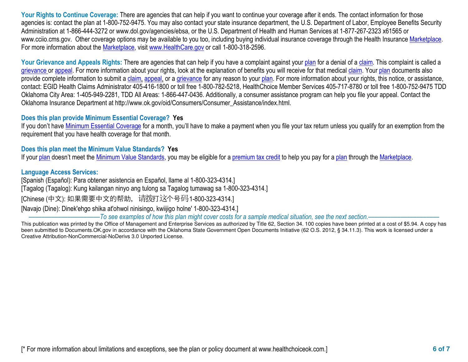Your Rights to Continue Coverage: There are agencies that can help if you want to continue your coverage after it ends. The contact information for those agencies is: contact the plan at 1-800-752-9475. You may also contact your state insurance department, the U.S. Department of Labor, Employee Benefits Security Administration at 1-866-444-3272 or www.dol.gov/agencies/ebsa, or the U.S. Department of Health and Human Services at 1-877-267-2323 x61565 or www.cciio.cms.gov. Other coverage options may be available to you too, including buying individual insurance coverage through the Health Insurance Marketplace. For more information about the Marketplace, visit www.HealthCare.gov or call 1-800-318-2596.

Your Grievance and Appeals Rights: There are agencies that can help if you have a complaint against your plan for a denial of a claim. This complaint is called a grievance or appeal. For more information about your rights, look at the explanation of benefits you will receive for that medical claim. Your plan documents also provide complete information to submit a claim, appeal, or a grievance for any reason to your plan. For more information about your rights, this notice, or assistance, contact: EGID Health Claims Administrator 405-416-1800 or toll free 1-800-782-5218, HealthChoice Member Services 405-717-8780 or toll free 1-800-752-9475 TDD Oklahoma City Area: 1-405-949-2281, TDD All Areas: 1-866-447-0436. Additionally, a consumer assistance program can help you file your appeal. Contact the Oklahoma Insurance Department at http://www.ok.gov/oid/Consumers/Consumer\_Assistance/index.html.

# **Does this plan provide Minimum Essential Coverage? Yes**

If you don't have Minimum Essential Coverage for a month, you'll have to make a payment when you file your tax return unless you qualify for an exemption from the requirement that you have health coverage for that month.

## **Does this plan meet the Minimum Value Standards? Yes**

If your plan doesn't meet the Minimum Value Standards, you may be eligible for a premium tax credit to help you pay for a plan through the Marketplace.

### **Language Access Services:**

[Spanish (Español): Para obtener asistencia en Español, llame al 1-800-323-4314.]

[Tagalog (Tagalog): Kung kailangan ninyo ang tulong sa Tagalog tumawag sa 1-800-323-4314.]

[Chinese (中文): 如果需要中文的帮助, 请拨打这个号码1-800-323-4314.]

[Navajo (Dine): Dinek'ehgo shika at'ohwol ninisingo, kwiijigo holne' 1-800-323-4314.]

-To see examples of how this plan might cover costs for a sample medical situation, see the next section.-

This publication was printed by the Office of Management and Enterprise Services as authorized by Title 62, Section 34. 100 copies have been printed at a cost of \$5.94. A copy has been submitted to Documents.OK.gov in accordance with the Oklahoma State Government Open Documents Initiative (62 O.S. 2012, § 34.11.3). This work is licensed under a Creative Attribution-NonCommercial-NoDerivs 3.0 Unported License.